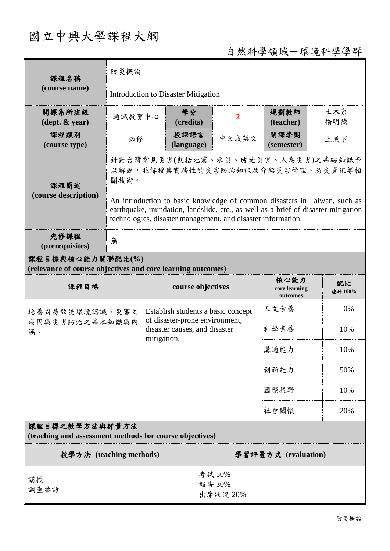# 國立中興大學課程大綱

## 自然科學領域-環境科學學群

| 課程名稱                                                                            | 防災概論   |                                                                                                                                                                                                                                 |                    |                                |                                                                       |                                   |            |                     |  |  |
|---------------------------------------------------------------------------------|--------|---------------------------------------------------------------------------------------------------------------------------------------------------------------------------------------------------------------------------------|--------------------|--------------------------------|-----------------------------------------------------------------------|-----------------------------------|------------|---------------------|--|--|
| (course name)                                                                   |        | <b>Introduction to Disaster Mitigation</b>                                                                                                                                                                                      |                    |                                |                                                                       |                                   |            |                     |  |  |
| 開課系所班級<br>$(\text{dept.} \& \text{ year})$                                      | 通識教育中心 |                                                                                                                                                                                                                                 | 學分<br>(credits)    |                                | 2                                                                     | 規劃教師<br>(teacher)                 | 土木系<br>楊明德 |                     |  |  |
| 課程類別<br>(course type)                                                           | 必修     |                                                                                                                                                                                                                                 | 授課語言<br>(language) |                                | 中文或英文                                                                 | 開課學期<br>(semester)                | 上或下        |                     |  |  |
| 課程簡述                                                                            | 關技術。   |                                                                                                                                                                                                                                 |                    |                                | 針對台灣常見災害(包括地震、水災、坡地災害、人為災害)之基礎知識予<br>以解說,並傳授具實務性的災害防治知能及介紹災害管理、防災資訊等相 |                                   |            |                     |  |  |
| (course description)                                                            |        | An introduction to basic knowledge of common disasters in Taiwan, such as<br>earthquake, inundation, landslide, etc., as well as a brief of disaster mitigation<br>technologies, disaster management, and disaster information. |                    |                                |                                                                       |                                   |            |                     |  |  |
| 先修課程<br>(prerequisites)                                                         | 無      |                                                                                                                                                                                                                                 |                    |                                |                                                                       |                                   |            |                     |  |  |
| 課程目標與核心能力關聯配比(%)<br>(relevance of course objectives and core learning outcomes) |        |                                                                                                                                                                                                                                 |                    |                                |                                                                       |                                   |            |                     |  |  |
| 課程目標                                                                            |        |                                                                                                                                                                                                                                 | course objectives  |                                |                                                                       | 核心能力<br>core learning<br>outcomes |            | 配比<br>總計 100%<br>0% |  |  |
| 培養對易致災環境認識、災害之                                                                  |        |                                                                                                                                                                                                                                 |                    |                                | Establish students a basic concept                                    | 人文素養                              |            |                     |  |  |
| 成因與災害防治之基本知識與內<br>涵。                                                            |        | disaster causes, and disaster<br>mitigation.                                                                                                                                                                                    |                    | of disaster-prone environment, |                                                                       | 科學素養                              |            | 10%                 |  |  |
|                                                                                 |        |                                                                                                                                                                                                                                 |                    |                                |                                                                       | 溝通能力                              |            | 10%                 |  |  |
|                                                                                 |        |                                                                                                                                                                                                                                 |                    |                                |                                                                       | 創新能力                              |            | 50%                 |  |  |
|                                                                                 |        |                                                                                                                                                                                                                                 |                    |                                | 國際視野                                                                  |                                   | 10%        |                     |  |  |
|                                                                                 | 社會關懷   |                                                                                                                                                                                                                                 |                    |                                |                                                                       | 20%                               |            |                     |  |  |
| 課程目標之教學方法與評量方法<br>(teaching and assessment methods for course objectives)       |        |                                                                                                                                                                                                                                 |                    |                                |                                                                       |                                   |            |                     |  |  |
| 教學方法 (teaching methods)                                                         |        |                                                                                                                                                                                                                                 |                    |                                |                                                                       | 學習評量方式 (evaluation)               |            |                     |  |  |
| 講授<br>調查參訪                                                                      |        |                                                                                                                                                                                                                                 |                    |                                | 考試50%<br>報告 30%<br>出席狀況 20%                                           |                                   |            |                     |  |  |